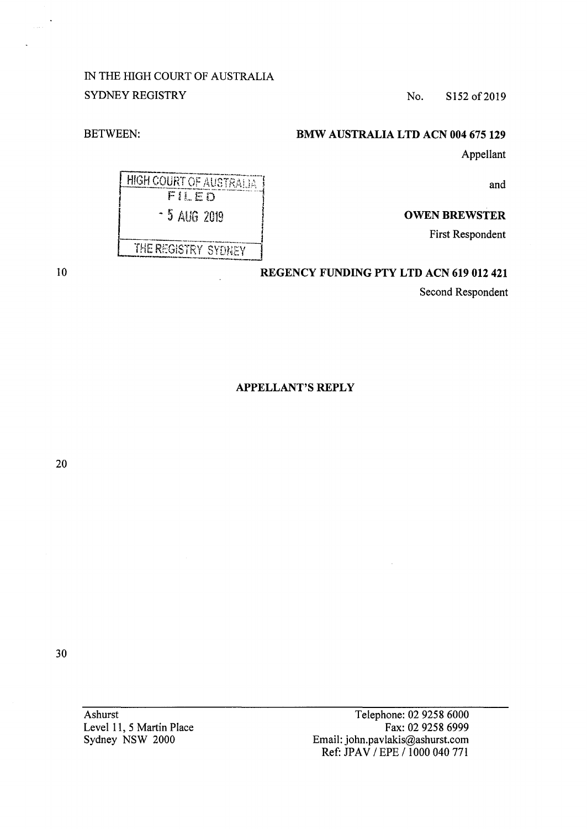IN THE HIGH COURT OF AUSTRALIA SYDNEY REGISTRY No. S152 of 2019

BETWEEN:

# **BMW AUSTRALIA LTD ACN 004 675 129**

Appellant

and

### **OWEN BREWSTER**

First Respondent

# **REGENCY FUNDING PTY LTD ACN 619 012 421**

Second Respondent

**APPELLANT'S REPLY** 

20

30

Ashurst Level 11, 5 Martin Place Sydney NSW 2000

Telephone: 02 9258 6000 Fax: 02 9258 6999 Email: john.pavlakis@ashurst.com Ref: JPAV / EPE / 1000 040 771

**HIGH COURT OF AUSTRALIA** FILED - 5 AUG 2019 THE REGISTRY SYDNEY

10

i.<br>Voqealar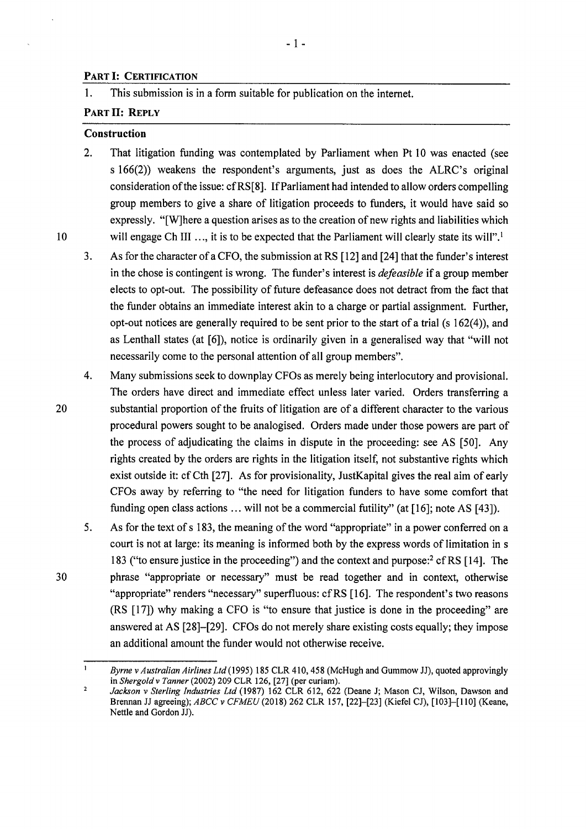### **PART** I: **CERTIFICATION**

1. This submission is in a form suitable for publication on the internet.

### PART II: REPLY

#### **Construction**

2. That litigation funding was contemplated by Parliament when Pt 10 was enacted (see s 166(2)) weakens the respondent's arguments, just as does the ALRC's original consideration of the issue: cfRS[8]. If Parliament had intended to allow orders compelling group members to give a share of litigation proceeds to funders, it would have said so expressly. "[W]here a question arises as to the creation of new rights and liabilities which 10 will engage Ch III ..., it is to be expected that the Parliament will clearly state its will".<sup>1</sup>

- 1 -

- 3. As for the character of a CFO, the submission at RS [12] and [24] that the funder's interest in the chose is contingent is wrong. The funder's interest is *defeasible* if a group member elects to opt-out. The possibility of future defeasance does not detract from the fact that the funder obtains an immediate interest akin to a charge or partial assignment. Further, opt-out notices are generally required to be sent prior to the start of a trial (s  $162(4)$ ), and as Lenthall states (at [6]), notice is ordinarily given in a generalised way that "will not necessarily come to the personal attention of all group members".
- 4. Many submissions seek to downplay CFOs as merely being interlocutory and provisional. The orders have direct and immediate effect unless later varied. Orders transferring a 20 substantial proportion of the fruits of litigation are of a different character to the various procedural powers sought to be analogised. Orders made under those powers are part of the process of adjudicating the claims in dispute in the proceeding: see AS [50]. Any rights created by the orders are rights in the litigation itself, not substantive rights which exist outside it: cf Cth [27]. As for provisionality, JustKapital gives the real aim of early CFOs away by referring to "the need for litigation funders to have some comfort that funding open class actions ... will not be a commercial futility" (at [16]; note AS [43]).
- 5. As for the text of s 183, the meaning of the word "appropriate" in a power conferred on a court is not at large: its meaning is informed both by the express words of limitation in s 183 ("to ensure justice in the proceeding") and the context and purpose:<sup>2</sup> cf RS [14]. The 30 phrase "appropriate or necessary" must be read together and in context, otherwise "appropriate" renders "necessary" superfluous: cf RS [16]. The respondent's two reasons (RS [17]) why making a CFO is "to ensure that justice is done in the proceeding" are answered at AS [28]-[29]. CFOs do not merely share existing costs equally; they impose an additional amount the funder would not otherwise receive.

*Byrne v Australian Airlines Ltd* (1995) 185 CLR 410,458 (McHugh and Gummow JJ), quoted approvingly in *Shergold v Tanner* (2002) 209 CLR 126, [27] (per curiam).  $\overline{2}$ 

*Jackson v Sterling Industries Ltd* (1987) 162 CLR 612, 622 (Deane J; Mason CJ, Wilson, Dawson and Brennan JJ agreeing); *ABCC v CFMEU* (2018) 262 CLR 157, [22]-[23] (Kiefel CJ), [103]-[110] (Keane, Nettle and Gordon JJ).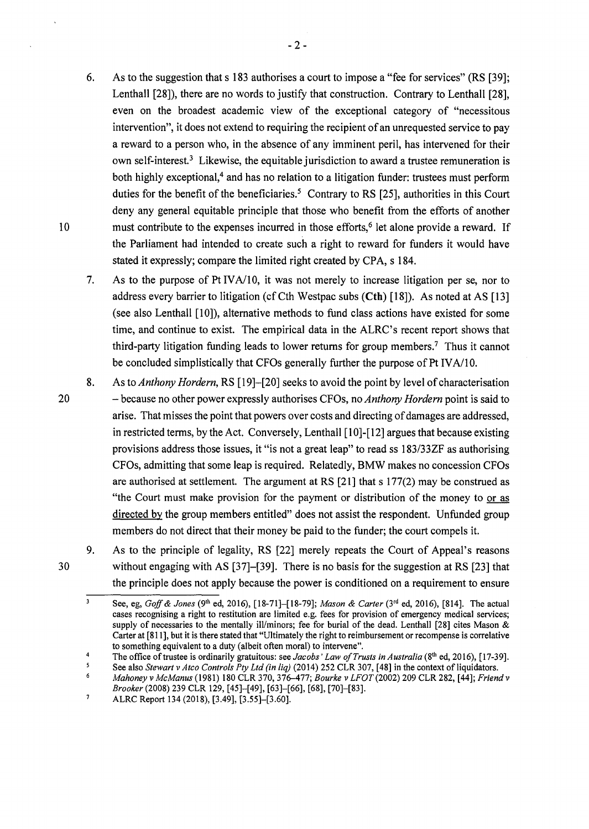- 6. As to the suggestion thats 183 authorises a court to impose a "fee for services" (RS [39]; Lenthall [28]), there are no words to justify that construction. Contrary to Lenthall [28], even on the broadest academic view of the exceptional category of "necessitous intervention", it does not extend to requiring the recipient of an unrequested service to pay a reward to a person who, in the absence of any imminent peril, has intervened for their own self-interest.<sup>3</sup> Likewise, the equitable jurisdiction to award a trustee remuneration is both highly exceptional,<sup>4</sup> and has no relation to a litigation funder: trustees must perform duties for the benefit of the beneficiaries.<sup>5</sup> Contrary to RS  $[25]$ , authorities in this Court deny any general equitable principle that those who benefit from the efforts of another 10 must contribute to the expenses incurred in those efforts,<sup> $6$ </sup> let alone provide a reward. If the Parliament had intended to create such a right to reward for funders it would have stated it expressly; compare the limited right created by CPA, s 184.
	- 7. As to the purpose of Pt IVA/10, it was not merely to increase litigation per se, nor to address every barrier to litigation (cf Cth Westpac subs **(Cth)** [18]). As noted at AS [13] (see also Lenthall [10]), alternative methods to fund class actions have existed for some time, and continue to exist. The empirical data in the ALRC's recent report shows that third-party litigation funding leads to lower returns for group members.<sup>7</sup> Thus it cannot be concluded simplistically that CFOs generally further the purpose of Pt IVA/10.
- 20 8. As to *Anthony Hordern,* RS [ 19]-[20] seeks to avoid the point by level of characterisation - because no other power expressly authorises CFOs, no *Anthony Hordern* point is said to arise. That misses the point that powers over costs and directing of damages are addressed, in restricted terms, by the Act. Conversely, Lenthall [10]-[12] argues that because existing provisions address those issues, it "is not a great leap" to read ss 183/33ZF as authorising CFOs, admitting that some leap is required. Relatedly, BMW makes no concession CFOs are authorised at settlement. The argument at RS  $[21]$  that s  $177(2)$  may be construed as "the Court must make provision for the payment or distribution of the money to or as directed by the group members entitled" does not assist the respondent. Unfunded group members do not direct that their money be paid to the funder; the court compels it.

30

9. As to the principle of legality, RS [22] merely repeats the Court of Appeal's reasons without engaging with AS [37]–[39]. There is no basis for the suggestion at RS [23] that the principle does not apply because the power is conditioned on a requirement to ensure

6 *Mahoney v McManus* (1981) 180 CLR 370, 376-477; *Bourke v LFOT* (2002) 209 CLR 282, [44]; *Friend v Brooker* (2008) 239 CLR 129, [45]-[49], [63]-[66], [68], [70]-[83].

 $\overline{\mathbf{3}}$ See, eg, *Goff & Jones* (9<sup>th</sup> ed, 2016), [18-71]-[18-79]; *Mason & Carter* (3<sup>rd</sup> ed, 2016), [814]. The actual cases recognising a right to restitution are limited e.g. fees for provision of emergency medical services; supply of necessaries to the mentally ill/minors; fee for burial of the dead. Lenthall [28] cites Mason & Carter at [811 ], but it is there stated that "Ultimately the right to reimbursement or recompense is correlative to something equivalent to a duty (albeit often moral) to intervene".

<sup>4</sup>  The office of trustee is ordinarily gratuitous: see *Jacobs' Law of Trusts in Australia* (8<sup>th</sup> ed, 2016), [17-39].

<sup>5</sup> See also *Stewart v Atco Controls Pty Ltd (in liq)* (2014) 252 CLR 307, [48] in the context of liquidators.

 $\overline{7}$ ALRC Report 134 (2018), [3.49], [3.55]-[3.60].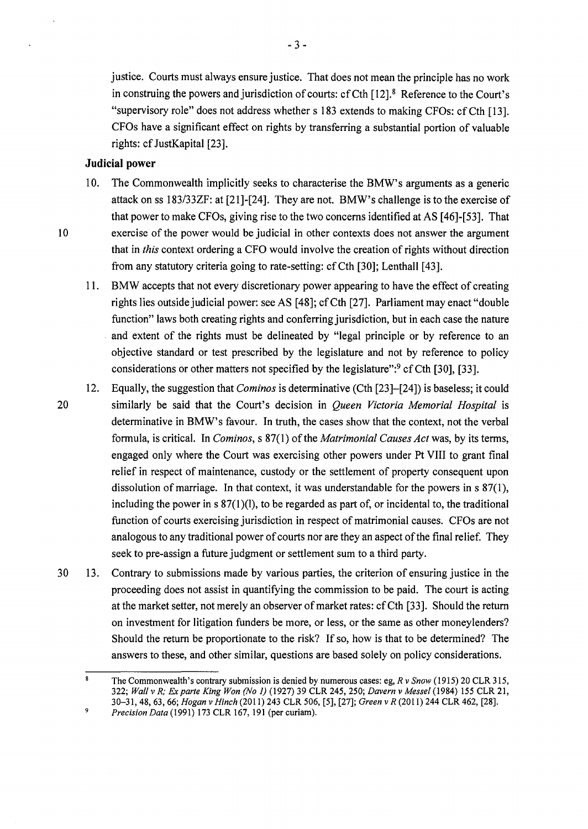justice. Courts must always ensure justice. That does not mean the principle has no work in construing the powers and jurisdiction of courts: cf Cth  $[12]$ .<sup>8</sup> Reference to the Court's "supervisory role" does not address whether s 183 extends to making CFOs: cf Cth [13]. CFOs have a significant effect on rights by transferring a substantial portion of valuable rights: cf JustKapital [23].

## **Judicial power**

- 10. The Commonwealth implicitly seeks to characterise the BMW's arguments as a generic attack on ss I 83/33ZF: at [2 l]-[24]. They are not. BMW's challenge is to the exercise of that power to make CFOs, giving rise to the two concerns identified at AS [46]-[53]. That 10 exercise of the power would be judicial in other contexts does not answer the argument that in *this* context ordering a CFO would involve the creation of rights without direction from any statutory criteria going to rate-setting: cfCth [30]; Lenthall [43].
	- 11. BMW accepts that not every discretionary power appearing to have the effect of creating rights lies outside judicial power: see AS [48]; cfCth [27]. Parliament may enact "double function" laws both creating rights and conferring jurisdiction, but in each case the nature and extent of the rights must be delineated by "legal principle or by reference to an objective standard or test prescribed by the legislature and not by reference to policy considerations or other matters not specified by the legislature": $9$  cf Cth [30], [33].
- 12. Equally, the suggestion that *Cominos* is determinative (Cth [23]-[24]) is baseless; it could 20 similarly be said that the Court's decision in *Queen Victoria Memorial Hospital* is determinative in BMW's favour. In truth, the cases show that the context, not the verbal formula, is critical. In *Cominos,* s 87(1) of the *Matrimonial Causes Act* was, by its terms, engaged only where the Court was exercising other powers under Pt VIII to grant final relief in respect of maintenance, custody or the settlement of property consequent upon dissolution of marriage. In that context, it was understandable for the powers in  $s \frac{87(1)}{1}$ , including the power in  $s \frac{87(1)}{1}$ , to be regarded as part of, or incidental to, the traditional function of courts exercising jurisdiction in respect of matrimonial causes. CFOs are not analogous to any traditional power of courts nor are they an aspect of the final relief. They seek to pre-assign a future judgment or settlement sum to a third party.
- 30 13. Contrary to submissions made by various parties, the criterion of ensuring justice in the proceeding does not assist in quantifying the commission to be paid. The court is acting at the market setter, not merely an observer of market rates: cf Cth [33]. Should the return on investment for litigation funders be more, or less, or the same as other moneylenders? Should the return be proportionate to the risk? If so, how is that to be determined? The answers to these, and other similar, questions are based solely on policy considerations.

The Commonwealth's contrary submission is denied by numerous cases: eg, *R v Snow* (1915) 20 CLR 315, 322; *Wall v R; Ex parte King Won (No* 1) (1927) 39 CLR 245,250; *Davern v Messel* (1984) 155 CLR 21, 30-31, 48, 63, 66; *Hogan v Hinch* (2011) 243 CLR 506, [5], [27]; *Green v R* (2011) 244 CLR 462, [28]. 9 *Precision Data* (1991) 173 CLR 167, 191 (per curiam).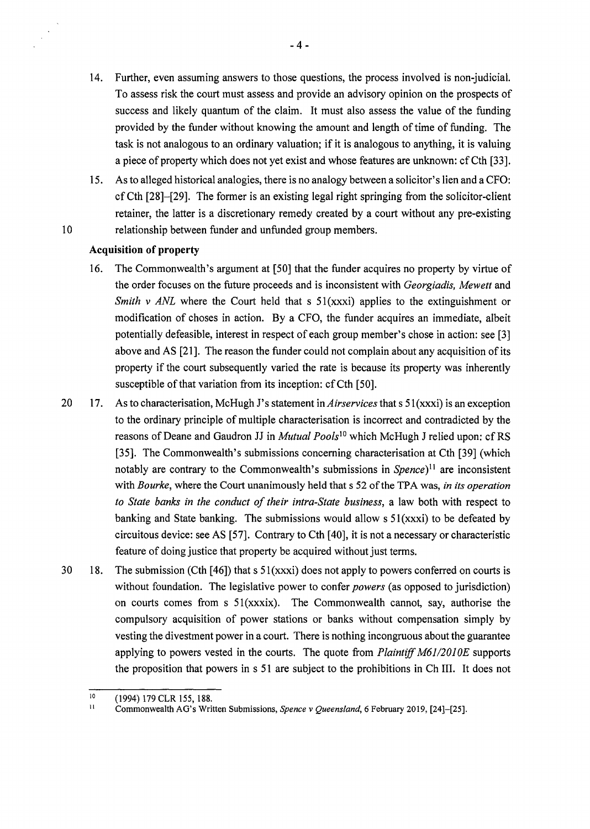- 14. Further, even assuming answers to those questions, the process involved is non-judicial. To assess risk the court must assess and provide an advisory opinion on the prospects of success and likely quantum of the claim. It must also assess the value of the funding provided by the funder without knowing the amount and length of time of funding. The task is not analogous to an ordinary valuation; if it is analogous to anything, it is valuing a piece of property which does not yet exist and whose features are unknown: cf Cth [33].
- 15. As to alleged historical analogies, there is no analogy between a solicitor's lien and a CFO: cf Cth [28]-[29]. The former is an existing legal right springing from the solicitor-client retainer, the latter is a discretionary remedy created by a court without any pre-existing 10 relationship between funder and unfunded group members.

### **Acquisition of property**

 $\bar{z}$ 

- 16. The Commonwealth's argument at [50] that the funder acquires no property by virtue of the order focuses on the future proceeds and is inconsistent with *Georgiadis, Mewett* and *Smith v ANL* where the Court held that s  $51(xxxi)$  applies to the extinguishment or modification of choses in action. By a CFO, the funder acquires an immediate, albeit potentially defeasible, interest in respect of each group member's chose in action: see [3] above and AS [21]. The reason the funder could not complain about any acquisition of its property if the court subsequently varied the rate is because its property was inherently susceptible of that variation from its inception: cf Cth [50].
- 20 17. As to characterisation, Mc Hugh J's statement in *Airservices* thats 51 (xxxi) is an exception to the ordinary principle of multiple characterisation is incorrect and contradicted by the reasons of Deane and Gaudron JJ in *Mutual Pools*<sup>10</sup> which McHugh J relied upon: cf RS [35]. The Commonwealth's submissions concerning characterisation at Cth [39] (which notably are contrary to the Commonwealth's submissions in *Spence*)<sup>11</sup> are inconsistent with *Bourke,* where the Court unanimously held thats 52 of the TPA was, *in its operation to State banks in the conduct of their intra-State business,* a law both with respect to banking and State banking. The submissions would allow s 51(xxxi) to be defeated by circuitous device: see AS [57]. Contrary to Cth [ 40], it is not a necessary or characteristic feature of doing justice that property be acquired without just terms.
- 30 18. The submission (Cth [46]) that s  $51(xxxi)$  does not apply to powers conferred on courts is without foundation. The legislative power to confer *powers* (as opposed to jurisdiction) on courts comes from s 51(xxxix). The Commonwealth cannot, say, authorise the compulsory acquisition of power stations or banks without compensation simply by vesting the divestment power in a court. There is nothing incongruous about the guarantee applying to powers vested in the courts. The quote from *Plaintiff M61/2010E* supports the proposition that powers in s 51 are subject to the prohibitions in Ch III. It does not

<sup>10</sup>  (1994) 179 CLR 155, 188.

II Commonwealth AG's Written Submissions, *Spence v Queensland,* 6 February 2019, [24)-[25].